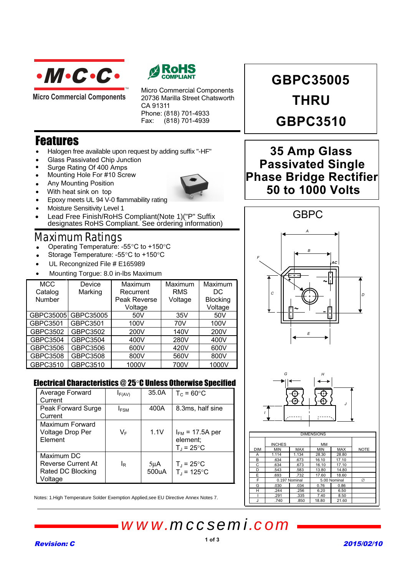

**Micro Commercial Components** 



Micro Commercial Components 20736 Marilla Street Chatsworth CA 91311 Phone: (818) 701-4933 Fax: (818) 701-4939

## Features

• Halogen free available upon request by adding suffix "-HF"

TM

- Glass Passivated Chip Junction
- Surge Rating Of 400 Amps
- Mounting Hole For #10 Screw
- Any Mounting Position



- Epoxy meets UL 94 V-0 flammability rating
- Moisture Sensitivity Level 1
- Lead Free Finish/RoHS Compliant(Note 1)("P" Suffix designates RoHS Compliant. See ordering information)

## Maximum Ratings

- Operating Temperature: -55°C to +150°C
- Storage Temperature: -55°C to +150°C
- UL Recongnized File # E165989
- Mounting Torgue: 8.0 in-lbs Maximum •

| <b>MCC</b> | Device    | Maximum      | Maximum    | Maximum         |
|------------|-----------|--------------|------------|-----------------|
| Catalog    | Marking   | Recurrent    | <b>RMS</b> | DC              |
| Number     |           | Peak Reverse | Voltage    | <b>Blocking</b> |
|            |           | Voltage      |            | Voltage         |
| GBPC35005  | GBPC35005 | 50V          | 35V        | 50V             |
| GBPC3501   | GBPC3501  | 100V         | 70V        | 100V            |
| GBPC3502   | GBPC3502  | 200V         | 140V       | 200V            |
| GBPC3504   | GBPC3504  | 400V         | 280V       | 400V            |
| GBPC3506   | GBPC3506  | 600V         | 420V       | 600V            |
| GBPC3508   | GBPC3508  | 800V         | 560V       | 800V            |
| GBPC3510   | GBPC3510  | 1000V        | 700V       | 1000V           |

### Electrical Characteristics @ 25°C Unless Otherwise Specified

| Average Forward<br>Current                                              | $I_{F(AV)}$             | 35.0A             | $T_c = 60$ °C                                          |
|-------------------------------------------------------------------------|-------------------------|-------------------|--------------------------------------------------------|
| Peak Forward Surge<br>Current                                           | <b>I</b> <sub>FSM</sub> | 400A              | 8.3ms, half sine                                       |
| Maximum Forward<br>Voltage Drop Per<br>Element                          | V⊧                      | 1.1V              | $I_{FM}$ = 17.5A per<br>element;<br>$T_{\rm J}$ = 25°C |
| Maximum DC<br><b>Reverse Current At</b><br>Rated DC Blocking<br>Voltage | lg                      | $5\mu$ A<br>500uA | $T_J = 25^{\circ}C$<br>$T_{\text{J}}$ = 125°C          |

Notes: 1.High Temperature Solder Exemption Applied,see EU Directive Annex Notes 7.

*www.mccsemi.com*

# **GBPC35005 THRU GBPC3510**

## **35 Amp Glass Phase Bridge Rectifier 50 to 1000 Volts Passivated Single**





| <b>DIMENSIONS</b> |               |            |              |            |             |  |
|-------------------|---------------|------------|--------------|------------|-------------|--|
|                   | <b>INCHES</b> |            | <b>MM</b>    |            |             |  |
| <b>DIM</b>        | <b>MIN</b>    | <b>MAX</b> | <b>MIN</b>   | <b>MAX</b> | <b>NOTE</b> |  |
| Α                 | 1.114         | 1.134      | 28.30        | 28.80      |             |  |
| B                 | .634          | .673       | 16.10        | 17.10      |             |  |
| C                 | .634          | .673       | 16.10        | 17.10      |             |  |
| D                 | .543          | .583       | 13.80        | 14.80      |             |  |
| E                 | .693          | .732       | 17.60        | 18.60      |             |  |
| F                 | 0.197 Nominal |            | 5.00 Nominal |            | ø           |  |
| G                 | .030          | .034       | 0.76         | 0.86       |             |  |
| н                 | .244          | .256       | 6.20         | 6.50       |             |  |
|                   | .291          | .335       | 7.40         | 8.50       |             |  |
| J                 | .740          | .850       | 18.80        | 21.60      |             |  |

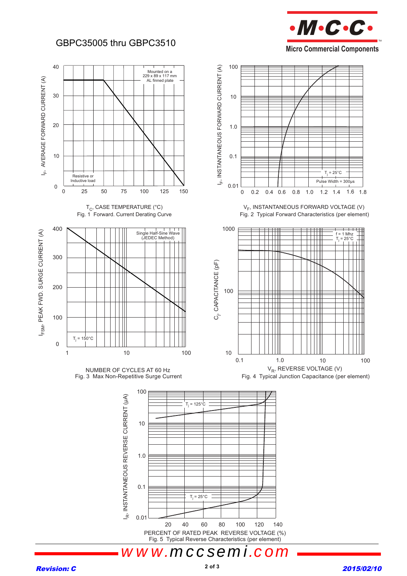## GBPC35005 thru GBPC3510







PERCENT OF RATED PEAK REVERSE VOLTAGE (%) Fig. 5 Typical Reverse Characteristics (per element)

#### **Revision: C** 2015/02/10

*www.mccsemi.*